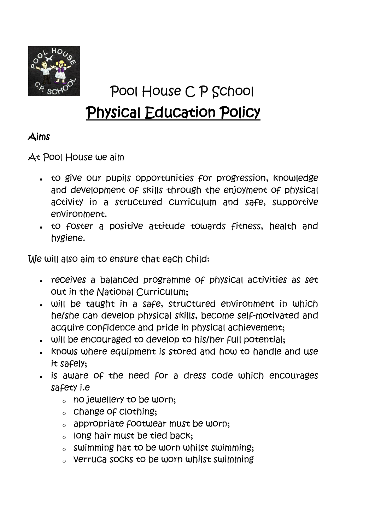

# Pool House C P School Physical Education Policy

# Aims

At Pool House we aim

- to give our pupils opportunities for progression, knowledge and development of skills through the enjoyment of physical activity in a structured curriculum and safe, supportive environment.
- to foster a positive attitude towards fitness, health and hygiene.

We will also aim to ensure that each child:

- receives a balanced programme of physical activities as set out in the National Curriculum;
- will be taught in a safe, structured environment in which he/she can develop physical skills, become self-motivated and acquire confidence and pride in physical achievement;
- will be encouraged to develop to his/her full potential;
- . Knows where equipment is stored and how to handle and use it safely;
- is aware of the need for a dress code which encourages safety i.e
	- $\circ$  no jewellery to be worn;
	- $\circ$  change of clothing;
	- o appropriate footwear must be worn;
	- $\circ$  long hair must be tied back;
	- $\circ$  swimming hat to be worn whilst swimming:
	- o verruca socks to be worn whilst swimming